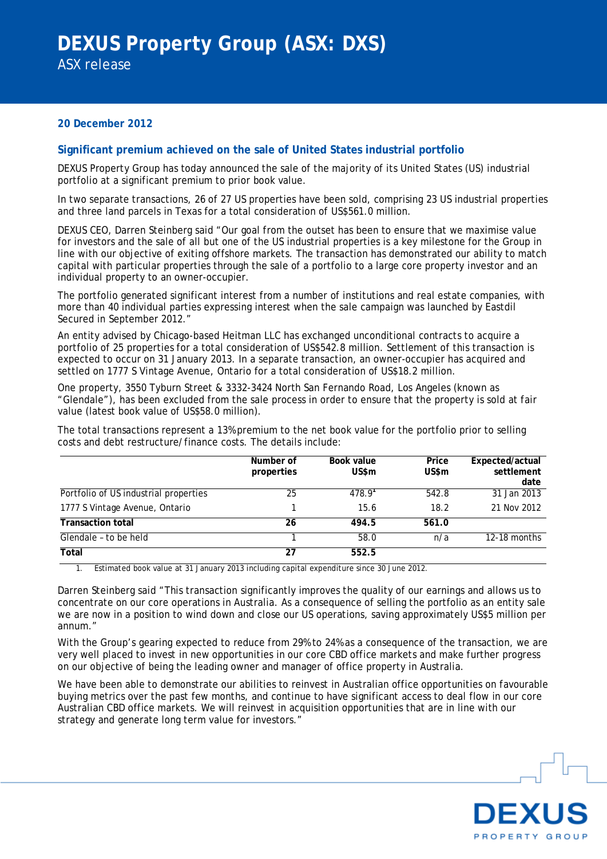### **20 December 2012**

### **Significant premium achieved on the sale of United States industrial portfolio**

DEXUS Property Group has today announced the sale of the majority of its United States (US) industrial portfolio at a significant premium to prior book value.

In two separate transactions, 26 of 27 US properties have been sold, comprising 23 US industrial properties and three land parcels in Texas for a total consideration of US\$561.0 million.

DEXUS CEO, Darren Steinberg said "Our goal from the outset has been to ensure that we maximise value for investors and the sale of all but one of the US industrial properties is a key milestone for the Group in line with our objective of exiting offshore markets. The transaction has demonstrated our ability to match capital with particular properties through the sale of a portfolio to a large core property investor and an individual property to an owner-occupier.

The portfolio generated significant interest from a number of institutions and real estate companies, with more than 40 individual parties expressing interest when the sale campaign was launched by Eastdil Secured in September 2012."

An entity advised by Chicago-based Heitman LLC has exchanged unconditional contracts to acquire a portfolio of 25 properties for a total consideration of US\$542.8 million. Settlement of this transaction is expected to occur on 31 January 2013. In a separate transaction, an owner-occupier has acquired and settled on 1777 S Vintage Avenue, Ontario for a total consideration of US\$18.2 million.

One property, 3550 Tyburn Street & 3332-3424 North San Fernando Road, Los Angeles (known as "Glendale"), has been excluded from the sale process in order to ensure that the property is sold at fair value (latest book value of US\$58.0 million).

The total transactions represent a 13% premium to the net book value for the portfolio prior to selling costs and debt restructure/finance costs. The details include:

|                                       | Number of<br>properties | Book value<br>US\$m | Price<br>US\$m | Expected/actual<br>settlement<br>date |
|---------------------------------------|-------------------------|---------------------|----------------|---------------------------------------|
| Portfolio of US industrial properties | 25                      | 478.9 <sup>1</sup>  | 542.8          | $31$ Jan $2013$                       |
| 1777 S Vintage Avenue, Ontario        |                         | 15.6                | 18.2           | 21 Nov 2012                           |
| <b>Transaction total</b>              | 26                      | 494.5               | 561.0          |                                       |
| Glendale - to be held                 |                         | 58.0                | n/a            | $12-18$ months                        |
| Total                                 | 27                      | 552.5               |                |                                       |

1. Estimated book value at 31 January 2013 including capital expenditure since 30 June 2012.

Darren Steinberg said "This transaction significantly improves the quality of our earnings and allows us to concentrate on our core operations in Australia. As a consequence of selling the portfolio as an entity sale we are now in a position to wind down and close our US operations, saving approximately US\$5 million per annum."

With the Group's gearing expected to reduce from 29% to 24% as a consequence of the transaction, we are very well placed to invest in new opportunities in our core CBD office markets and make further progress on our objective of being the leading owner and manager of office property in Australia.

We have been able to demonstrate our abilities to reinvest in Australian office opportunities on favourable buying metrics over the past few months, and continue to have significant access to deal flow in our core Australian CBD office markets. We will reinvest in acquisition opportunities that are in line with our strategy and generate long term value for investors."

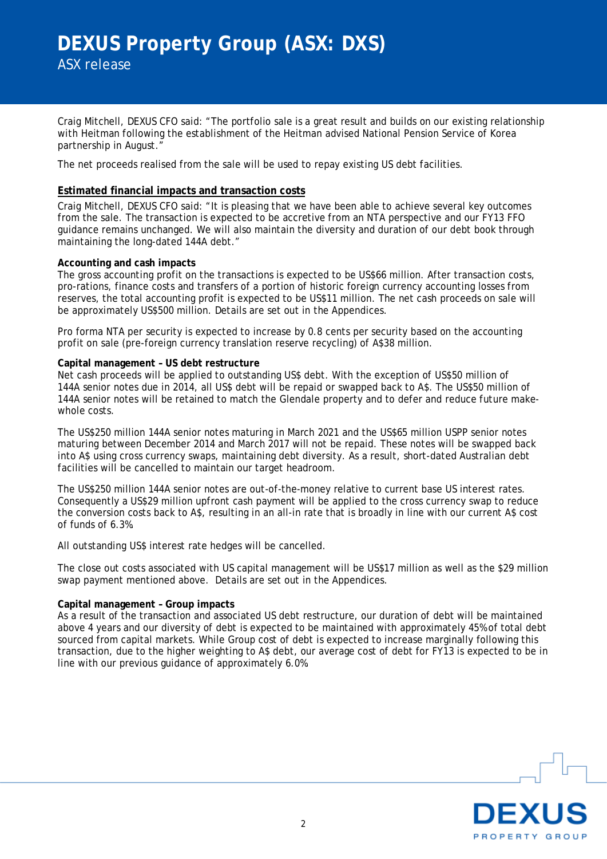Craig Mitchell, DEXUS CFO said: "The portfolio sale is a great result and builds on our existing relationship with Heitman following the establishment of the Heitman advised National Pension Service of Korea partnership in August."

The net proceeds realised from the sale will be used to repay existing US debt facilities.

#### **Estimated financial impacts and transaction costs**

Craig Mitchell, DEXUS CFO said: "It is pleasing that we have been able to achieve several key outcomes from the sale. The transaction is expected to be accretive from an NTA perspective and our FY13 FFO guidance remains unchanged. We will also maintain the diversity and duration of our debt book through maintaining the long-dated 144A debt."

#### **Accounting and cash impacts**

The gross accounting profit on the transactions is expected to be US\$66 million. After transaction costs, pro-rations, finance costs and transfers of a portion of historic foreign currency accounting losses from reserves, the total accounting profit is expected to be US\$11 million. The net cash proceeds on sale will be approximately US\$500 million. Details are set out in the Appendices.

Pro forma NTA per security is expected to increase by 0.8 cents per security based on the accounting profit on sale (pre-foreign currency translation reserve recycling) of A\$38 million.

#### **Capital management – US debt restructure**

Net cash proceeds will be applied to outstanding US\$ debt. With the exception of US\$50 million of 144A senior notes due in 2014, all US\$ debt will be repaid or swapped back to A\$. The US\$50 million of 144A senior notes will be retained to match the Glendale property and to defer and reduce future makewhole costs.

The US\$250 million 144A senior notes maturing in March 2021 and the US\$65 million USPP senior notes maturing between December 2014 and March 2017 will not be repaid. These notes will be swapped back into A\$ using cross currency swaps, maintaining debt diversity. As a result, short-dated Australian debt facilities will be cancelled to maintain our target headroom.

The US\$250 million 144A senior notes are out-of-the-money relative to current base US interest rates. Consequently a US\$29 million upfront cash payment will be applied to the cross currency swap to reduce the conversion costs back to A\$, resulting in an all-in rate that is broadly in line with our current A\$ cost of funds of 6.3%.

All outstanding US\$ interest rate hedges will be cancelled.

The close out costs associated with US capital management will be US\$17 million as well as the \$29 million swap payment mentioned above. Details are set out in the Appendices.

#### **Capital management – Group impacts**

As a result of the transaction and associated US debt restructure, our duration of debt will be maintained above 4 years and our diversity of debt is expected to be maintained with approximately 45% of total debt sourced from capital markets. While Group cost of debt is expected to increase marginally following this transaction, due to the higher weighting to A\$ debt, our average cost of debt for FY13 is expected to be in line with our previous guidance of approximately 6.0%.

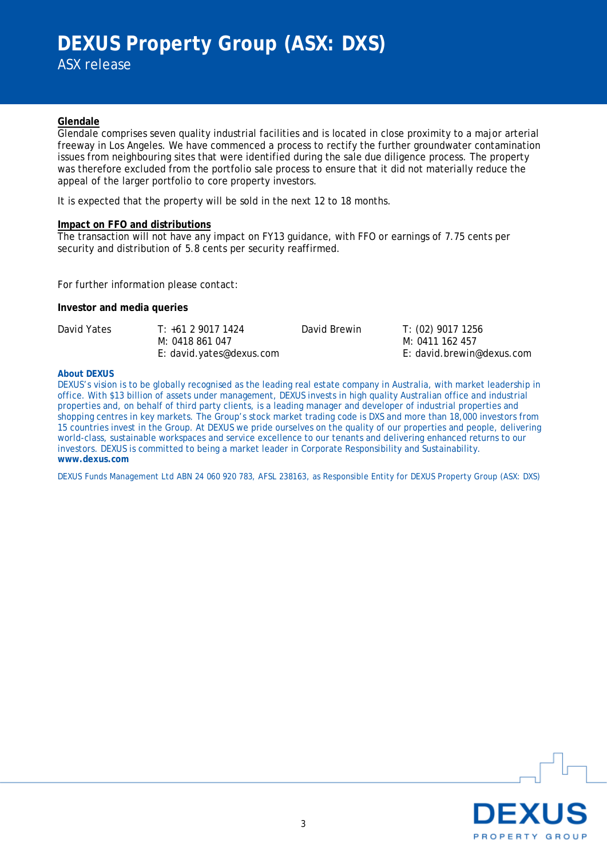# **DEXUS Property Group (ASX: DXS)**

ASX release

#### **Glendale**

Glendale comprises seven quality industrial facilities and is located in close proximity to a major arterial freeway in Los Angeles. We have commenced a process to rectify the further groundwater contamination issues from neighbouring sites that were identified during the sale due diligence process. The property was therefore excluded from the portfolio sale process to ensure that it did not materially reduce the appeal of the larger portfolio to core property investors.

It is expected that the property will be sold in the next 12 to 18 months.

#### **Impact on FFO and distributions**

The transaction will not have any impact on FY13 guidance, with FFO or earnings of 7.75 cents per security and distribution of 5.8 cents per security reaffirmed.

For further information please contact:

#### **Investor and media queries**

| David Yates | $T: +61290171424$        | David Brewin | T: (02) 9017 1256         |
|-------------|--------------------------|--------------|---------------------------|
|             | M: 0418 861 047          |              | M: 0411 162 457           |
|             | E: david.yates@dexus.com |              | E: david.brewin@dexus.com |

#### **About DEXUS**

DEXUS's vision is to be globally recognised as the leading real estate company in Australia, with market leadership in office. With \$13 billion of assets under management, DEXUS invests in high quality Australian office and industrial properties and, on behalf of third party clients, is a leading manager and developer of industrial properties and shopping centres in key markets. The Group's stock market trading code is DXS and more than 18,000 investors from 15 countries invest in the Group. At DEXUS we pride ourselves on the quality of our properties and people, delivering world-class, sustainable workspaces and service excellence to our tenants and delivering enhanced returns to our investors. DEXUS is committed to being a market leader in Corporate Responsibility and Sustainability. **www.dexus.com**

DEXUS Funds Management Ltd ABN 24 060 920 783, AFSL 238163, as Responsible Entity for DEXUS Property Group (ASX: DXS)

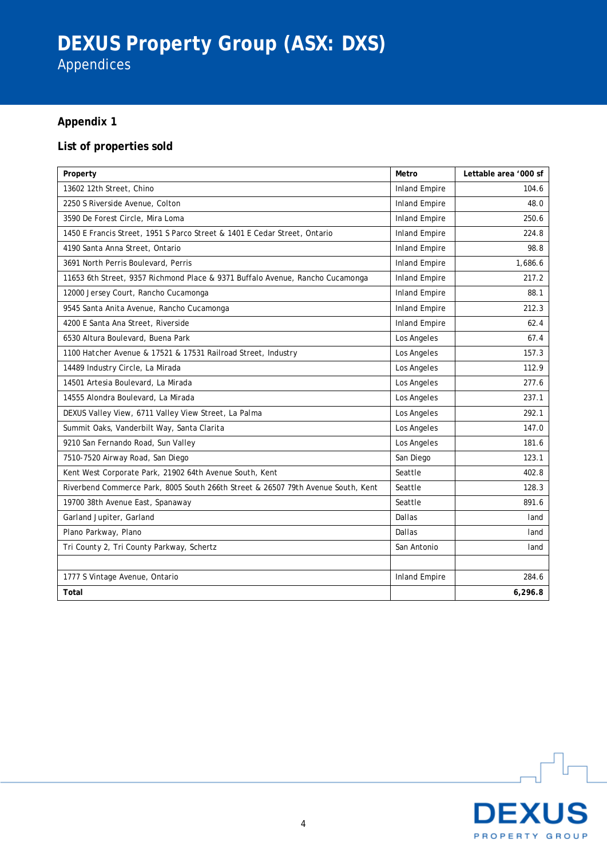# **DEXUS Property Group (ASX: DXS)**

Appendices

# **Appendix 1**

# **List of properties sold**

| Property                                                                         | Metro                | Lettable area '000 sf |
|----------------------------------------------------------------------------------|----------------------|-----------------------|
| 13602 12th Street, Chino                                                         | <b>Inland Empire</b> | 104.6                 |
| 2250 S Riverside Avenue, Colton                                                  | <b>Inland Empire</b> | 48.0                  |
| 3590 De Forest Circle, Mira Loma                                                 | <b>Inland Empire</b> | 250.6                 |
| 1450 E Francis Street, 1951 S Parco Street & 1401 E Cedar Street, Ontario        | <b>Inland Empire</b> | 224.8                 |
| 4190 Santa Anna Street, Ontario                                                  | <b>Inland Empire</b> | 98.8                  |
| 3691 North Perris Boulevard, Perris                                              | <b>Inland Empire</b> | 1,686.6               |
| 11653 6th Street, 9357 Richmond Place & 9371 Buffalo Avenue, Rancho Cucamonga    | <b>Inland Empire</b> | 217.2                 |
| 12000 Jersey Court, Rancho Cucamonga                                             | <b>Inland Empire</b> | 88.1                  |
| 9545 Santa Anita Avenue, Rancho Cucamonga                                        | <b>Inland Empire</b> | 212.3                 |
| 4200 E Santa Ana Street, Riverside                                               | <b>Inland Empire</b> | 62.4                  |
| 6530 Altura Boulevard, Buena Park                                                | Los Angeles          | 67.4                  |
| 1100 Hatcher Avenue & 17521 & 17531 Railroad Street, Industry                    | Los Angeles          | 157.3                 |
| 14489 Industry Circle, La Mirada                                                 | Los Angeles          | 112.9                 |
| 14501 Artesia Boulevard, La Mirada                                               | Los Angeles          | 277.6                 |
| 14555 Alondra Boulevard, La Mirada                                               | Los Angeles          | 237.1                 |
| DEXUS Valley View, 6711 Valley View Street, La Palma                             | Los Angeles          | 292.1                 |
| Summit Oaks, Vanderbilt Way, Santa Clarita                                       | Los Angeles          | 147.0                 |
| 9210 San Fernando Road, Sun Valley                                               | Los Angeles          | 181.6                 |
| 7510-7520 Airway Road, San Diego                                                 | San Diego            | 123.1                 |
| Kent West Corporate Park, 21902 64th Avenue South, Kent                          | Seattle              | 402.8                 |
| Riverbend Commerce Park, 8005 South 266th Street & 26507 79th Avenue South, Kent | Seattle              | 128.3                 |
| 19700 38th Avenue East, Spanaway                                                 | Seattle              | 891.6                 |
| Garland Jupiter, Garland                                                         | Dallas               | land                  |
| Plano Parkway, Plano                                                             | Dallas               | land                  |
| Tri County 2, Tri County Parkway, Schertz                                        | San Antonio          | land                  |
|                                                                                  |                      |                       |
| 1777 S Vintage Avenue, Ontario                                                   | <b>Inland Empire</b> | 284.6                 |
| Total                                                                            |                      | 6,296.8               |